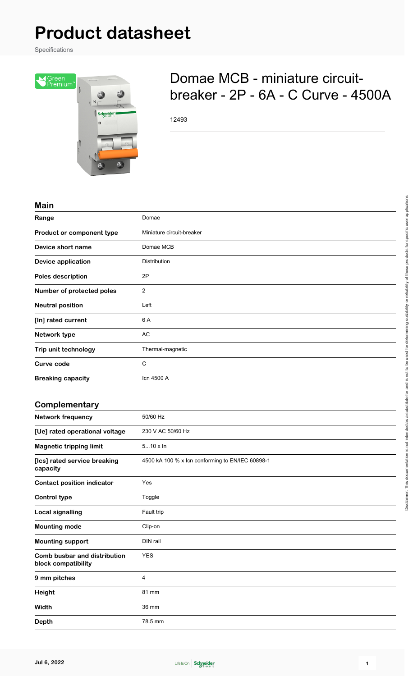# **Product datasheet**

Specifications



# Domae MCB - miniature circuitbreaker - 2P - 6A - C Curve - 4500A

12493

#### **Main**

| Range                     | Domae                     |
|---------------------------|---------------------------|
| Product or component type | Miniature circuit-breaker |
| Device short name         | Domae MCB                 |
| <b>Device application</b> | Distribution              |
| Poles description         | 2P                        |
| Number of protected poles | $\overline{2}$            |
| <b>Neutral position</b>   | Left                      |
| [In] rated current        | 6 A                       |
| Network type              | AC                        |
| Trip unit technology      | Thermal-magnetic          |
| Curve code                | С                         |
| <b>Breaking capacity</b>  | Icn 4500 A                |

#### **Complementary**

| 50/60 Hz<br>230 V AC 50/60 Hz<br>$510 \times \ln$ |
|---------------------------------------------------|
|                                                   |
|                                                   |
|                                                   |
| 4500 kA 100 % x Icn conforming to EN/IEC 60898-1  |
| Yes                                               |
| Toggle                                            |
| Fault trip                                        |
| Clip-on                                           |
| DIN rail                                          |
| <b>YES</b>                                        |
| 4                                                 |
| 81 mm                                             |
| 36 mm                                             |
| 78.5 mm                                           |
|                                                   |

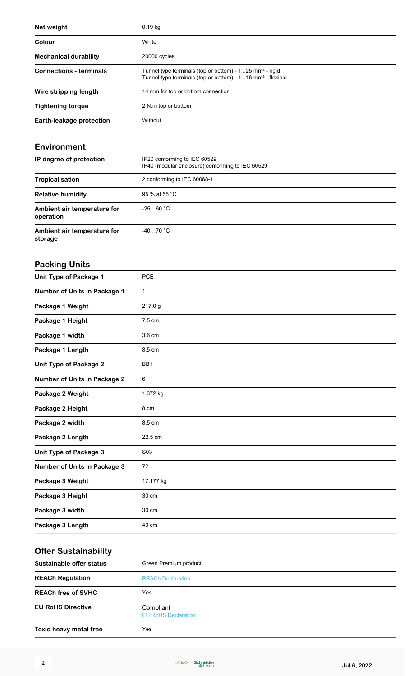| Net weight                     | $0.19$ kg                                                                                                                                     |
|--------------------------------|-----------------------------------------------------------------------------------------------------------------------------------------------|
| Colour                         | White                                                                                                                                         |
| <b>Mechanical durability</b>   | 20000 cycles                                                                                                                                  |
| <b>Connections - terminals</b> | Tunnel type terminals (top or bottom) - 125 mm <sup>2</sup> - rigid<br>Tunnel type terminals (top or bottom) - 116 mm <sup>2</sup> - flexible |
| Wire stripping length          | 14 mm for top or bottom connection                                                                                                            |
| <b>Tightening torque</b>       | 2 N.m top or bottom                                                                                                                           |
| Earth-leakage protection       | Without                                                                                                                                       |

#### **Environment**

| IP degree of protection                  | IP20 conforming to IEC 60529<br>IP40 (modular enclosure) conforming to IEC 60529 |
|------------------------------------------|----------------------------------------------------------------------------------|
| Tropicalisation                          | 2 conforming to IEC 60068-1                                                      |
| <b>Relative humidity</b>                 | 95 % at 55 °C                                                                    |
| Ambient air temperature for<br>operation | $-2560 °C$                                                                       |
| Ambient air temperature for<br>storage   | $-4070 °C$                                                                       |

### **Packing Units**

| <b>Unit Type of Package 1</b>       | PCE              |
|-------------------------------------|------------------|
| Number of Units in Package 1        | $\mathbf{1}$     |
| Package 1 Weight                    | 217.0 g          |
| Package 1 Height                    | 7.5 cm           |
| Package 1 width                     | 3.6 cm           |
| Package 1 Length                    | 8.5 cm           |
| <b>Unit Type of Package 2</b>       | BB1              |
| <b>Number of Units in Package 2</b> | 6                |
| Package 2 Weight                    | 1.372 kg         |
| Package 2 Height                    | 8 cm             |
| Package 2 width                     | 8.5 cm           |
| Package 2 Length                    | 22.5 cm          |
| <b>Unit Type of Package 3</b>       | S <sub>0</sub> 3 |
| <b>Number of Units in Package 3</b> | 72               |
| Package 3 Weight                    | 17.177 kg        |
| Package 3 Height                    | 30 cm            |
| Package 3 width                     | 30 cm            |
| Package 3 Length                    | 40 cm            |
|                                     |                  |

## **Offer Sustainability**

| Sustainable offer status  | Green Premium product                   |
|---------------------------|-----------------------------------------|
| <b>REACh Regulation</b>   | <b>REACh Declaration</b>                |
| <b>REACh free of SVHC</b> | Yes                                     |
| <b>EU RoHS Directive</b>  | Compliant<br><b>EU RoHS Declaration</b> |
| Toxic heavy metal free    | Yes                                     |